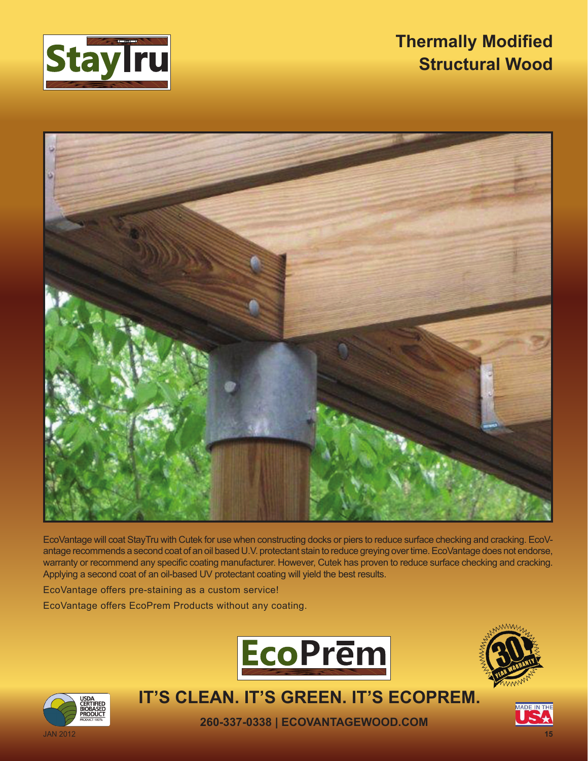

## **Thermally Modified Structural Wood**



EcoVantage will coat StayTru with Cutek for use when constructing docks or piers to reduce surface checking and cracking. EcoVantage recommends a second coat of an oil based U.V. protectant stain to reduce greying over time. EcoVantage does not endorse, warranty or recommend any specific coating manufacturer. However, Cutek has proven to reduce surface checking and cracking. Applying a second coat of an oil-based UV protectant coating will yield the best results.

EcoVantage offers pre-staining as a custom service!

EcoVantage offers EcoPrem Products without any coating.







**IT'S CLEAN. IT'S GREEN. IT'S ECOPREM.**

**260-337-0338 | ECOVANTAGEWOOD.COM**